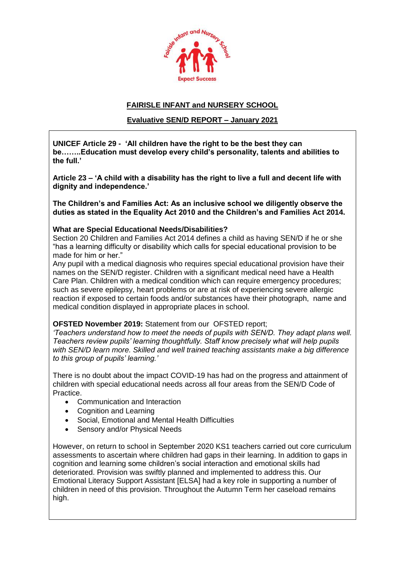

# **FAIRISLE INFANT and NURSERY SCHOOL**

# **Evaluative SEN/D REPORT – January 2021**

**UNICEF Article 29 - 'All children have the right to be the best they can be……..Education must develop every child's personality, talents and abilities to the full.'**

**Article 23 – 'A child with a disability has the right to live a full and decent life with dignity and independence.'**

**The Children's and Families Act: As an inclusive school we diligently observe the duties as stated in the Equality Act 2010 and the Children's and Families Act 2014.**

### **What are Special Educational Needs/Disabilities?**

Section 20 Children and Families Act 2014 defines a child as having SEN/D if he or she "has a learning difficulty or disability which calls for special educational provision to be made for him or her."

Any pupil with a medical diagnosis who requires special educational provision have their names on the SEN/D register. Children with a significant medical need have a Health Care Plan. Children with a medical condition which can require emergency procedures; such as severe epilepsy, heart problems or are at risk of experiencing severe allergic reaction if exposed to certain foods and/or substances have their photograph, name and medical condition displayed in appropriate places in school.

# **OFSTED November 2019:** Statement from our OFSTED report;

*'Teachers understand how to meet the needs of pupils with SEN/D. They adapt plans well. Teachers review pupils' learning thoughtfully. Staff know precisely what will help pupils with SEN/D learn more. Skilled and well trained teaching assistants make a big difference to this group of pupils' learning.'*

There is no doubt about the impact COVID-19 has had on the progress and attainment of children with special educational needs across all four areas from the SEN/D Code of Practice.

- Communication and Interaction
- Cognition and Learning
- Social, Emotional and Mental Health Difficulties
- Sensory and/or Physical Needs

However, on return to school in September 2020 KS1 teachers carried out core curriculum assessments to ascertain where children had gaps in their learning. In addition to gaps in cognition and learning some children's social interaction and emotional skills had deteriorated. Provision was swiftly planned and implemented to address this. Our Emotional Literacy Support Assistant [ELSA] had a key role in supporting a number of children in need of this provision. Throughout the Autumn Term her caseload remains high.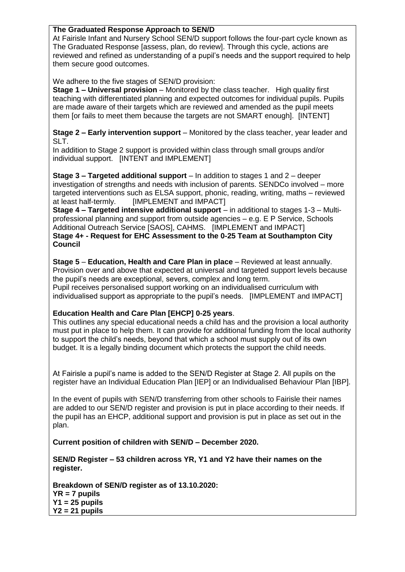# **The Graduated Response Approach to SEN/D**

At Fairisle Infant and Nursery School SEN/D support follows the four-part cycle known as The Graduated Response [assess, plan, do review]. Through this cycle, actions are reviewed and refined as understanding of a pupil's needs and the support required to help them secure good outcomes.

We adhere to the five stages of SEN/D provision:

**Stage 1 – Universal provision** – Monitored by the class teacher. High quality first teaching with differentiated planning and expected outcomes for individual pupils. Pupils are made aware of their targets which are reviewed and amended as the pupil meets them [or fails to meet them because the targets are not SMART enough]. [INTENT]

**Stage 2 – Early intervention support** – Monitored by the class teacher, year leader and SLT.

In addition to Stage 2 support is provided within class through small groups and/or individual support. [INTENT and IMPLEMENT]

**Stage 3 – Targeted additional support** – In addition to stages 1 and 2 – deeper investigation of strengths and needs with inclusion of parents. SENDCo involved – more targeted interventions such as ELSA support, phonic, reading, writing, maths – reviewed at least half-termly. [IMPLEMENT and IMPACT]

**Stage 4 – Targeted intensive additional support** – in additional to stages 1-3 – Multiprofessional planning and support from outside agencies – e.g. E P Service, Schools Additional Outreach Service [SAOS], CAHMS. [IMPLEMENT and IMPACT] **Stage 4+ - Request for EHC Assessment to the 0-25 Team at Southampton City Council**

**Stage 5** – **Education, Health and Care Plan in place** – Reviewed at least annually. Provision over and above that expected at universal and targeted support levels because the pupil's needs are exceptional, severs, complex and long term.

Pupil receives personalised support working on an individualised curriculum with individualised support as appropriate to the pupil's needs. [IMPLEMENT and IMPACT]

# **Education Health and Care Plan [EHCP] 0-25 years**.

This outlines any special educational needs a child has and the provision a local authority must put in place to help them. It can provide for additional funding from the local authority to support the child's needs, beyond that which a school must supply out of its own budget. It is a legally binding document which protects the support the child needs.

At Fairisle a pupil's name is added to the SEN/D Register at Stage 2. All pupils on the register have an Individual Education Plan [IEP] or an Individualised Behaviour Plan [IBP].

In the event of pupils with SEN/D transferring from other schools to Fairisle their names are added to our SEN/D register and provision is put in place according to their needs. If the pupil has an EHCP, additional support and provision is put in place as set out in the plan.

**Current position of children with SEN/D – December 2020.**

**SEN/D Register – 53 children across YR, Y1 and Y2 have their names on the register.**

**Breakdown of SEN/D register as of 13.10.2020: YR = 7 pupils Y1 = 25 pupils Y2 = 21 pupils**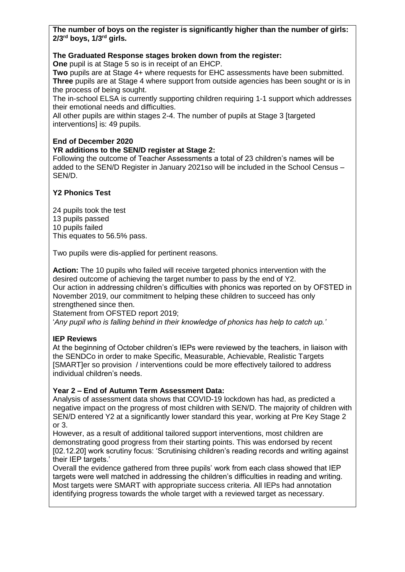**The number of boys on the register is significantly higher than the number of girls: 2/3rd boys, 1/3rd girls.**

### **The Graduated Response stages broken down from the register:**

**One** pupil is at Stage 5 so is in receipt of an EHCP.

**Two** pupils are at Stage 4+ where requests for EHC assessments have been submitted. **Three** pupils are at Stage 4 where support from outside agencies has been sought or is in the process of being sought.

The in-school ELSA is currently supporting children requiring 1-1 support which addresses their emotional needs and difficulties.

All other pupils are within stages 2-4. The number of pupils at Stage 3 [targeted interventions] is: 49 pupils.

### **End of December 2020**

#### **YR additions to the SEN/D register at Stage 2:**

Following the outcome of Teacher Assessments a total of 23 children's names will be added to the SEN/D Register in January 2021so will be included in the School Census – SEN/D.

# **Y2 Phonics Test**

24 pupils took the test 13 pupils passed 10 pupils failed This equates to 56.5% pass.

Two pupils were dis-applied for pertinent reasons.

**Action:** The 10 pupils who failed will receive targeted phonics intervention with the desired outcome of achieving the target number to pass by the end of Y2. Our action in addressing children's difficulties with phonics was reported on by OFSTED in November 2019, our commitment to helping these children to succeed has only strengthened since then.

Statement from OFSTED report 2019;

'*Any pupil who is falling behind in their knowledge of phonics has help to catch up.'*

# **IEP Reviews**

At the beginning of October children's IEPs were reviewed by the teachers, in liaison with the SENDCo in order to make Specific, Measurable, Achievable, Realistic Targets [SMART]er so provision / interventions could be more effectively tailored to address individual children's needs.

# **Year 2 – End of Autumn Term Assessment Data:**

Analysis of assessment data shows that COVID-19 lockdown has had, as predicted a negative impact on the progress of most children with SEN/D. The majority of children with SEN/D entered Y2 at a significantly lower standard this year, working at Pre Key Stage 2 or 3.

However, as a result of additional tailored support interventions, most children are demonstrating good progress from their starting points. This was endorsed by recent [02.12.20] work scrutiny focus: 'Scrutinising children's reading records and writing against their IEP targets.'

Overall the evidence gathered from three pupils' work from each class showed that IEP targets were well matched in addressing the children's difficulties in reading and writing. Most targets were SMART with appropriate success criteria. All IEPs had annotation identifying progress towards the whole target with a reviewed target as necessary.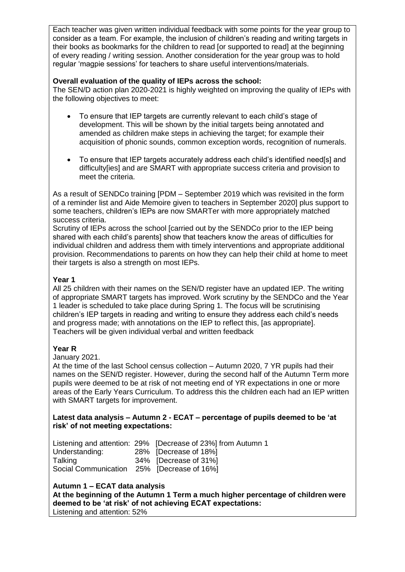Each teacher was given written individual feedback with some points for the year group to consider as a team. For example, the inclusion of children's reading and writing targets in their books as bookmarks for the children to read [or supported to read] at the beginning of every reading / writing session. Another consideration for the year group was to hold regular 'magpie sessions' for teachers to share useful interventions/materials.

# **Overall evaluation of the quality of IEPs across the school:**

The SEN/D action plan 2020-2021 is highly weighted on improving the quality of IEPs with the following objectives to meet:

- To ensure that IEP targets are currently relevant to each child's stage of development. This will be shown by the initial targets being annotated and amended as children make steps in achieving the target; for example their acquisition of phonic sounds, common exception words, recognition of numerals.
- To ensure that IEP targets accurately address each child's identified need[s] and difficulty [ies] and are SMART with appropriate success criteria and provision to meet the criteria.

As a result of SENDCo training [PDM – September 2019 which was revisited in the form of a reminder list and Aide Memoire given to teachers in September 2020] plus support to some teachers, children's IEPs are now SMARTer with more appropriately matched success criteria.

Scrutiny of IEPs across the school [carried out by the SENDCo prior to the IEP being shared with each child's parents] show that teachers know the areas of difficulties for individual children and address them with timely interventions and appropriate additional provision. Recommendations to parents on how they can help their child at home to meet their targets is also a strength on most IEPs.

# **Year 1**

All 25 children with their names on the SEN/D register have an updated IEP. The writing of appropriate SMART targets has improved. Work scrutiny by the SENDCo and the Year 1 leader is scheduled to take place during Spring 1. The focus will be scrutinising children's IEP targets in reading and writing to ensure they address each child's needs and progress made; with annotations on the IEP to reflect this, [as appropriate]. Teachers will be given individual verbal and written feedback

#### **Year R**

January 2021.

At the time of the last School census collection – Autumn 2020, 7 YR pupils had their names on the SEN/D register. However, during the second half of the Autumn Term more pupils were deemed to be at risk of not meeting end of YR expectations in one or more areas of the Early Years Curriculum. To address this the children each had an IEP written with SMART targets for improvement.

#### **Latest data analysis – Autumn 2 - ECAT – percentage of pupils deemed to be 'at risk' of not meeting expectations:**

Listening and attention: 29% [Decrease of 23%] from Autumn 1 Understanding: 28% [Decrease of 18%] Talking 34% [Decrease of 31%] Social Communication 25% [Decrease of 16%]

#### **Autumn 1 – ECAT data analysis**

**At the beginning of the Autumn 1 Term a much higher percentage of children were deemed to be 'at risk' of not achieving ECAT expectations:** Listening and attention: 52%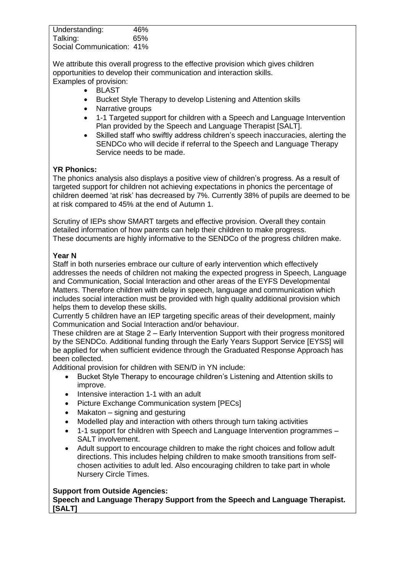| Understanding:            | 46% |
|---------------------------|-----|
| Talking:                  | 65% |
| Social Communication: 41% |     |

We attribute this overall progress to the effective provision which gives children opportunities to develop their communication and interaction skills. Examples of provision:

- BLAST
	- Bucket Style Therapy to develop Listening and Attention skills
	- Narrative groups
	- 1-1 Targeted support for children with a Speech and Language Intervention Plan provided by the Speech and Language Therapist [SALT].
	- Skilled staff who swiftly address children's speech inaccuracies, alerting the SENDCo who will decide if referral to the Speech and Language Therapy Service needs to be made.

### **YR Phonics:**

The phonics analysis also displays a positive view of children's progress. As a result of targeted support for children not achieving expectations in phonics the percentage of children deemed 'at risk' has decreased by 7%. Currently 38% of pupils are deemed to be at risk compared to 45% at the end of Autumn 1.

Scrutiny of IEPs show SMART targets and effective provision. Overall they contain detailed information of how parents can help their children to make progress. These documents are highly informative to the SENDCo of the progress children make.

### **Year N**

Staff in both nurseries embrace our culture of early intervention which effectively addresses the needs of children not making the expected progress in Speech, Language and Communication, Social Interaction and other areas of the EYFS Developmental Matters. Therefore children with delay in speech, language and communication which includes social interaction must be provided with high quality additional provision which helps them to develop these skills.

Currently 5 children have an IEP targeting specific areas of their development, mainly Communication and Social Interaction and/or behaviour.

These children are at Stage 2 – Early Intervention Support with their progress monitored by the SENDCo. Additional funding through the Early Years Support Service [EYSS] will be applied for when sufficient evidence through the Graduated Response Approach has been collected.

Additional provision for children with SEN/D in YN include:

- Bucket Style Therapy to encourage children's Listening and Attention skills to improve.
- Intensive interaction 1-1 with an adult
- Picture Exchange Communication system [PECs]
- Makaton signing and gesturing
- Modelled play and interaction with others through turn taking activities
- 1-1 support for children with Speech and Language Intervention programmes SALT involvement.
- Adult support to encourage children to make the right choices and follow adult directions. This includes helping children to make smooth transitions from selfchosen activities to adult led. Also encouraging children to take part in whole Nursery Circle Times.

#### **Support from Outside Agencies:**

**Speech and Language Therapy Support from the Speech and Language Therapist. [SALT]**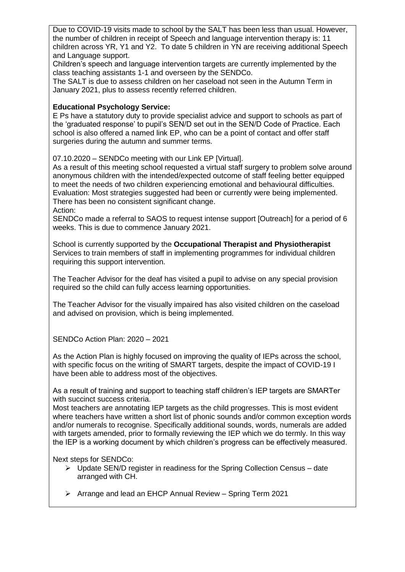Due to COVID-19 visits made to school by the SALT has been less than usual. However, the number of children in receipt of Speech and language intervention therapy is: 11 children across YR, Y1 and Y2. To date 5 children in YN are receiving additional Speech and Language support.

Children's speech and language intervention targets are currently implemented by the class teaching assistants 1-1 and overseen by the SENDCo.

The SALT is due to assess children on her caseload not seen in the Autumn Term in January 2021, plus to assess recently referred children.

# **Educational Psychology Service:**

E Ps have a statutory duty to provide specialist advice and support to schools as part of the 'graduated response' to pupil's SEN/D set out in the SEN/D Code of Practice. Each school is also offered a named link EP, who can be a point of contact and offer staff surgeries during the autumn and summer terms.

07.10.2020 – SENDCo meeting with our Link EP [Virtual].

As a result of this meeting school requested a virtual staff surgery to problem solve around anonymous children with the intended/expected outcome of staff feeling better equipped to meet the needs of two children experiencing emotional and behavioural difficulties. Evaluation: Most strategies suggested had been or currently were being implemented. There has been no consistent significant change.

Action:

SENDCo made a referral to SAOS to request intense support [Outreach] for a period of 6 weeks. This is due to commence January 2021.

School is currently supported by the **Occupational Therapist and Physiotherapist** Services to train members of staff in implementing programmes for individual children requiring this support intervention.

The Teacher Advisor for the deaf has visited a pupil to advise on any special provision required so the child can fully access learning opportunities.

The Teacher Advisor for the visually impaired has also visited children on the caseload and advised on provision, which is being implemented.

SENDCo Action Plan: 2020 – 2021

As the Action Plan is highly focused on improving the quality of IEPs across the school, with specific focus on the writing of SMART targets, despite the impact of COVID-19 I have been able to address most of the objectives.

As a result of training and support to teaching staff children's IEP targets are SMARTer with succinct success criteria.

Most teachers are annotating IEP targets as the child progresses. This is most evident where teachers have written a short list of phonic sounds and/or common exception words and/or numerals to recognise. Specifically additional sounds, words, numerals are added with targets amended, prior to formally reviewing the IEP which we do termly. In this way the IEP is a working document by which children's progress can be effectively measured.

Next steps for SENDCo:

- $\triangleright$  Update SEN/D register in readiness for the Spring Collection Census date arranged with CH.
- Arrange and lead an EHCP Annual Review Spring Term 2021